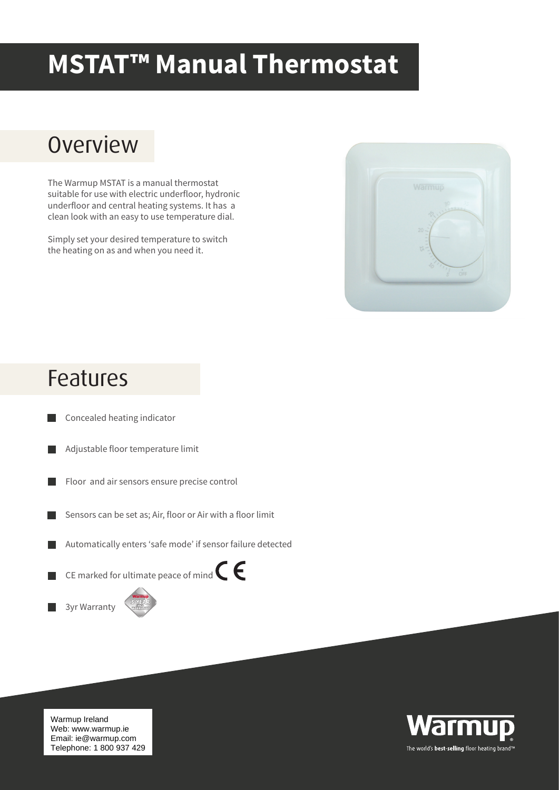## **MSTAT™ Manual Thermostat**

## **Overview**

The Warmup MSTAT is a manual thermostat suitable for use with electric underfloor, hydronic underfloor and central heating systems. It has a clean look with an easy to use temperature dial.

Simply set your desired temperature to switch the heating on as and when you need it.



## Features

- Concealed heating indicator
- Adjustable floor temperature limit
- Floor and air sensors ensure precise control
- Sensors can be set as; Air, floor or Air with a floor limit ш
- Automatically enters 'safe mode' if sensor failure detected
- CE marked for ultimate peace of mind  $\epsilon$





Warmup Ireland web. www.warmup.re<br>Email: ie@warmup.com Telephone: 1 800 937 429 Web: www.warmup.ie